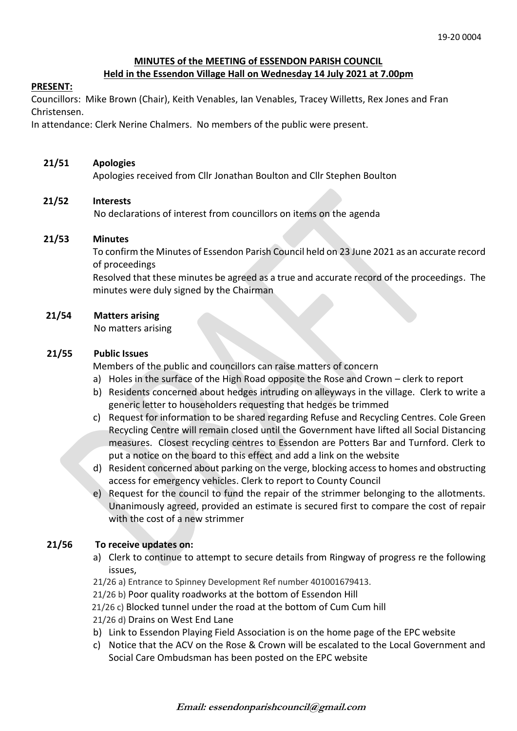# **MINUTES of the MEETING of ESSENDON PARISH COUNCIL**

# **Held in the Essendon Village Hall on Wednesday 14 July 2021 at 7.00pm**

## **PRESENT:**

Councillors: Mike Brown (Chair), Keith Venables, Ian Venables, Tracey Willetts, Rex Jones and Fran Christensen.

In attendance: Clerk Nerine Chalmers. No members of the public were present.

## **21/51 Apologies**

Apologies received from Cllr Jonathan Boulton and Cllr Stephen Boulton

# **21/52 Interests**

No declarations of interest from councillors on items on the agenda

## **21/53 Minutes**

To confirm the Minutes of Essendon Parish Council held on 23 June 2021 as an accurate record of proceedings

Resolved that these minutes be agreed as a true and accurate record of the proceedings. The minutes were duly signed by the Chairman

# **21/54 Matters arising**

No matters arising

# **21/55 Public Issues**

Members of the public and councillors can raise matters of concern

- a) Holes in the surface of the High Road opposite the Rose and Crown clerk to report
- b) Residents concerned about hedges intruding on alleyways in the village. Clerk to write a generic letter to householders requesting that hedges be trimmed
- c) Request for information to be shared regarding Refuse and Recycling Centres. Cole Green Recycling Centre will remain closed until the Government have lifted all Social Distancing measures. Closest recycling centres to Essendon are Potters Bar and Turnford. Clerk to put a notice on the board to this effect and add a link on the website
- d) Resident concerned about parking on the verge, blocking access to homes and obstructing access for emergency vehicles. Clerk to report to County Council
- e) Request for the council to fund the repair of the strimmer belonging to the allotments. Unanimously agreed, provided an estimate is secured first to compare the cost of repair with the cost of a new strimmer

# **21/56 To receive updates on:**

- a) Clerk to continue to attempt to secure details from Ringway of progress re the following issues,
- 21/26 a) Entrance to Spinney Development Ref number 401001679413.
- 21/26 b) Poor quality roadworks at the bottom of Essendon Hill
- 21/26 c) Blocked tunnel under the road at the bottom of Cum Cum hill
- 21/26 d) Drains on West End Lane
- b) Link to Essendon Playing Field Association is on the home page of the EPC website
- c) Notice that the ACV on the Rose & Crown will be escalated to the Local Government and Social Care Ombudsman has been posted on the EPC website

**Email: essendonparishcouncil@gmail.com**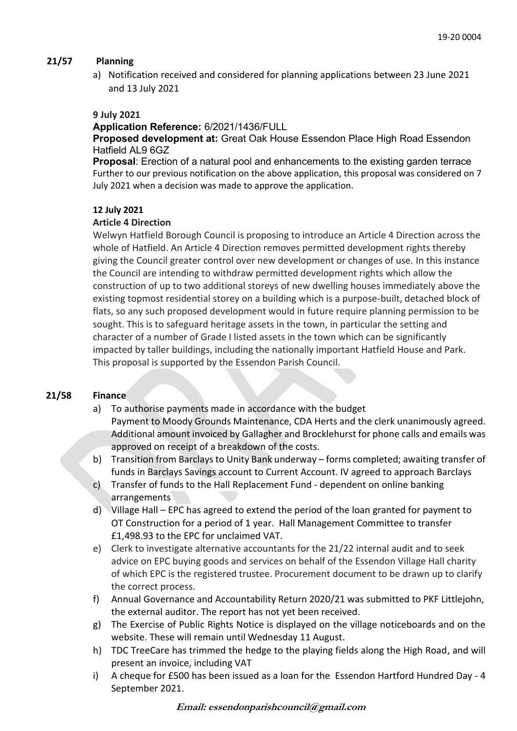## **21/57 Planning**

a) Notification received and considered for planning applications between 23 June 2021 and 13 July 2021

#### **9 July 2021**

#### **Application Reference:** 6/2021/1436/FULL

**Proposed development at:** Great Oak House Essendon Place High Road Essendon Hatfield AL9 6GZ

**Proposal**: Erection of a natural pool and enhancements to the existing garden terrace Further to our previous notification on the above application, this proposal was considered on 7 July 2021 when a decision was made to approve the application.

#### **12 July 2021**

#### **Article 4 Direction**

Welwyn Hatfield Borough Council is proposing to introduce an Article 4 Direction across the whole of Hatfield. An Article 4 Direction removes permitted development rights thereby giving the Council greater control over new development or changes of use. In this instance the Council are intending to withdraw permitted development rights which allow the construction of up to two additional storeys of new dwelling houses immediately above the existing topmost residential storey on a building which is a purpose-built, detached block of flats, so any such proposed development would in future require planning permission to be sought. This is to safeguard heritage assets in the town, in particular the setting and character of a number of Grade I listed assets in the town which can be significantly impacted by taller buildings, including the nationally important Hatfield House and Park. This proposal is supported by the Essendon Parish Council.

## **21/58 Finance**

- a) To authorise payments made in accordance with the budget Payment to Moody Grounds Maintenance, CDA Herts and the clerk unanimously agreed. Additional amount invoiced by Gallagher and Brocklehurst for phone calls and emails was approved on receipt of a breakdown of the costs.
- b) Transition from Barclays to Unity Bank underway forms completed; awaiting transfer of funds in Barclays Savings account to Current Account. IV agreed to approach Barclays
- c) Transfer of funds to the Hall Replacement Fund dependent on online banking arrangements
- d) Village Hall EPC has agreed to extend the period of the loan granted for payment to OT Construction for a period of 1 year. Hall Management Committee to transfer £1,498.93 to the EPC for unclaimed VAT.
- e) Clerk to investigate alternative accountants for the 21/22 internal audit and to seek advice on EPC buying goods and services on behalf of the Essendon Village Hall charity of which EPC is the registered trustee. Procurement document to be drawn up to clarify the correct process.
- f) Annual Governance and Accountability Return 2020/21 was submitted to PKF Littlejohn, the external auditor. The report has not yet been received.
- g) The Exercise of Public Rights Notice is displayed on the village noticeboards and on the website. These will remain until Wednesday 11 August.
- h) TDC TreeCare has trimmed the hedge to the playing fields along the High Road, and will present an invoice, including VAT
- i) A cheque for £500 has been issued as a loan for the Essendon Hartford Hundred Day 4 September 2021.

**Email: essendonparishcouncil@gmail.com**